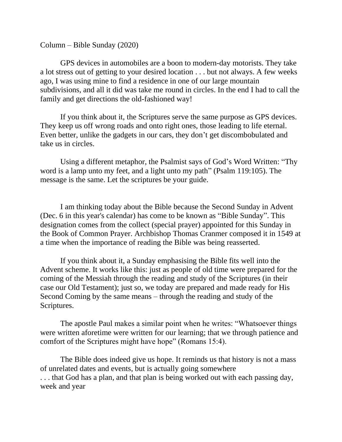Column – Bible Sunday (2020)

GPS devices in automobiles are a boon to modern-day motorists. They take a lot stress out of getting to your desired location . . . but not always. A few weeks ago, I was using mine to find a residence in one of our large mountain subdivisions, and all it did was take me round in circles. In the end I had to call the family and get directions the old-fashioned way!

If you think about it, the Scriptures serve the same purpose as GPS devices. They keep us off wrong roads and onto right ones, those leading to life eternal. Even better, unlike the gadgets in our cars, they don't get discombobulated and take us in circles.

Using a different metaphor, the Psalmist says of God's Word Written: "Thy word is a lamp unto my feet, and a light unto my path" (Psalm 119:105). The message is the same. Let the scriptures be your guide.

I am thinking today about the Bible because the Second Sunday in Advent (Dec. 6 in this year's calendar) has come to be known as "Bible Sunday". This designation comes from the collect (special prayer) appointed for this Sunday in the Book of Common Prayer. Archbishop Thomas Cranmer composed it in 1549 at a time when the importance of reading the Bible was being reasserted.

If you think about it, a Sunday emphasising the Bible fits well into the Advent scheme. It works like this: just as people of old time were prepared for the coming of the Messiah through the reading and study of the Scriptures (in their case our Old Testament); just so, we today are prepared and made ready for His Second Coming by the same means – through the reading and study of the Scriptures.

The apostle Paul makes a similar point when he writes: "Whatsoever things were written aforetime were written for our learning; that we through patience and comfort of the Scriptures might have hope" (Romans 15:4).

The Bible does indeed give us hope. It reminds us that history is not a mass of unrelated dates and events, but is actually going somewhere . . . that God has a plan, and that plan is being worked out with each passing day, week and year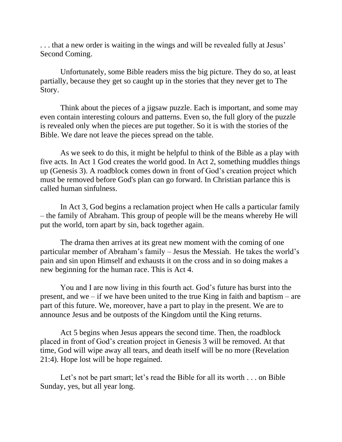. . . that a new order is waiting in the wings and will be revealed fully at Jesus' Second Coming.

Unfortunately, some Bible readers miss the big picture. They do so, at least partially, because they get so caught up in the stories that they never get to The Story.

Think about the pieces of a jigsaw puzzle. Each is important, and some may even contain interesting colours and patterns. Even so, the full glory of the puzzle is revealed only when the pieces are put together. So it is with the stories of the Bible. We dare not leave the pieces spread on the table.

As we seek to do this, it might be helpful to think of the Bible as a play with five acts. In Act 1 God creates the world good. In Act 2, something muddles things up (Genesis 3). A roadblock comes down in front of God's creation project which must be removed before God's plan can go forward. In Christian parlance this is called human sinfulness.

In Act 3, God begins a reclamation project when He calls a particular family – the family of Abraham. This group of people will be the means whereby He will put the world, torn apart by sin, back together again.

The drama then arrives at its great new moment with the coming of one particular member of Abraham's family – Jesus the Messiah. He takes the world's pain and sin upon Himself and exhausts it on the cross and in so doing makes a new beginning for the human race. This is Act 4.

You and I are now living in this fourth act. God's future has burst into the present, and we – if we have been united to the true King in faith and baptism – are part of this future. We, moreover, have a part to play in the present. We are to announce Jesus and be outposts of the Kingdom until the King returns.

Act 5 begins when Jesus appears the second time. Then, the roadblock placed in front of God's creation project in Genesis 3 will be removed. At that time, God will wipe away all tears, and death itself will be no more (Revelation 21:4). Hope lost will be hope regained.

Let's not be part smart; let's read the Bible for all its worth . . . on Bible Sunday, yes, but all year long.